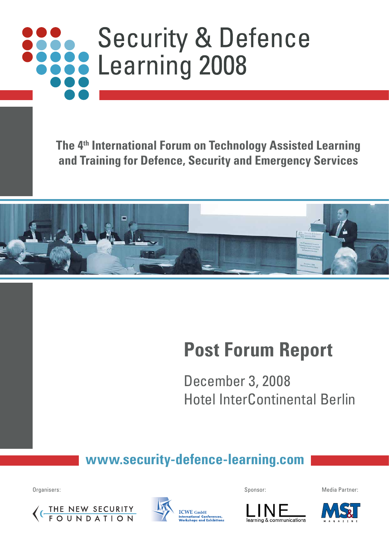# **Security & Defence See Learning 2008**

**The 4th International Forum on Technology Assisted Learning and Training for Defence, Security and Emergency Services**



# **Post Forum Report**

December 3, 2008 Hotel InterContinental Berlin

# **www.security-defence-learning.com**







Organisers: Sponsor: Media Partner:

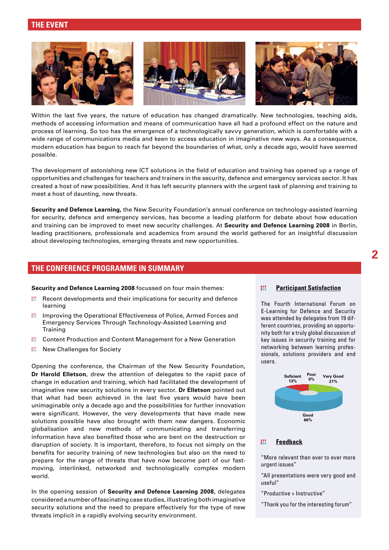## **THE EVENT**



Within the last five years, the nature of education has changed dramatically. New technologies, teaching aids, methods of accessing information and means of communication have all had a profound effect on the nature and process of learning. So too has the emergence of a technologically savvy generation, which is comfortable with a wide range of communications media and keen to access education in imaginative new ways. As a consequence, modern education has begun to reach far beyond the boundaries of what, only a decade ago, would have seemed possible.

The development of astonishing new ICT solutions in the field of education and training has opened up a range of opportunities and challenges for teachers and trainers in the security, defence and emergency services sector. It has created a host of new possibilities. And it has left security planners with the urgent task of planning and training to meet a host of daunting, new threats.

**Security and Defence Learning,** the New Security Foundation's annual conference on technology-assisted learning for security, defence and emergency services, has become a leading platform for debate about how education and training can be improved to meet new security challenges. At **Security and Defence Learning 2008** in Berlin, leading practitioners, professionals and academics from around the world gathered for an insightful discussion about developing technologies, emerging threats and new opportunities.

### **THE CONFERENCE PROGRAMME IN SUMMARY**

**Security and Defence Learning 2008** focussed on four main themes:

- **III** Recent developments and their implications for security and defence learning
- **III** Improving the Operational Effectiveness of Police, Armed Forces and Emergency Services Through Technology-Assisted Learning and Training
- **:::** Content Production and Content Management for a New Generation
- **:::** New Challenges for Society

Opening the conference, the Chairman of the New Security Foundation, **Dr Harold Elletson**, drew the attention of delegates to the rapid pace of change in education and training, which had facilitated the development of imaginative new security solutions in every sector. **Dr Elletson** pointed out that what had been achieved in the last five years would have been unimaginable only a decade ago and the possibilities for further innovation were significant. However, the very developments that have made new solutions possible have also brought with them new dangers. Economic globalisation and new methods of communicating and transferring information have also benefited those who are bent on the destruction or disruption of society. It is important, therefore, to focus not simply on the benefits for security training of new technologies but also on the need to prepare for the range of threats that have now become part of our fastmoving, interlinked, networked and technologically complex modern world.

In the opening session of **Security and Defence Learning 2008,** delegates considered a number of fascinating case studies, illustrating both imaginative security solutions and the need to prepare effectively for the type of new threats implicit in a rapidly evolving security environment.

#### 88 **Participant Satisfaction**

The Fourth International Forum on E-Learning for Defence and Security was attended by delegates from 19 different countries, providing an opportunity both for a truly global discussion of key issues in security training and for networking between learning professionals, solutions providers and end users.



#### **Feedback** m

"More relevant than ever to ever more urgent issues"

- "All presentations were very good and useful"
- "Productive + Instructive"

"Thank you for the interesting forum"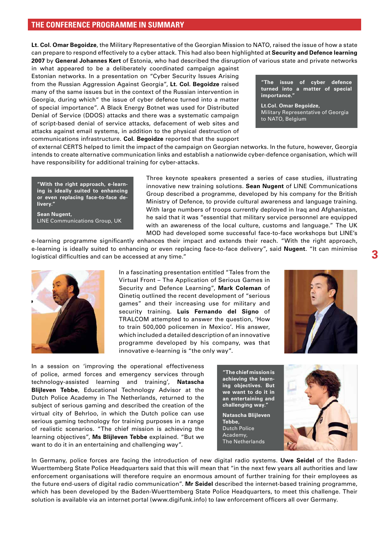# **THE CONFERENCE PROGRAMME IN SUMMARY**

**Lt. Col. Omar Begoidze**, the Military Representative of the Georgian Mission to NATO, raised the issue of how a state can prepare to respond effectively to a cyber attack. This had also been highlighted at **Security and Defence learning 2007** by **General Johannes Kert** of Estonia, who had described the disruption of various state and private networks

in what appeared to be a deliberately coordinated campaign against Estonian networks. In a presentation on "Cyber Security Issues Arising from the Russian Aggression Against Georgia", **Lt. Col. Begoidze** raised many of the same issues but in the context of the Russian intervention in Georgia, during which" the issue of cyber defence turned into a matter of special importance". A Black Energy Botnet was used for Distributed Denial of Service (DDOS) attacks and there was a systematic campaign of script-based denial of service attacks, defacement of web sites and attacks against email systems, in addition to the physical destruction of communications infrastructure. **Col. Begoidze** reported that the support

**"The issue of cyber defence turned into a matter of special importance."**

**Lt.Col. Omar Begoidze,** Military Representative of Georgia to NATO, Belgium

of external CERTS helped to limit the impact of the campaign on Georgian networks. In the future, however, Georgia intends to create alternative communication links and establish a nationwide cyber-defence organisation, which will have responsibility for additional training for cyber-attacks.

**"With the right approach, e-learning is ideally suited to enhancing or even replacing face-to-face delivery."**

**Sean Nugent,** LINE Communications Group, UK Three keynote speakers presented a series of case studies, illustrating innovative new training solutions. **Sean Nugent** of LINE Communications Group described a programme, developed by his company for the British Ministry of Defence, to provide cultural awareness and language training. With large numbers of troops currently deployed in Iraq and Afghanistan, he said that it was "essential that military service personnel are equipped with an awareness of the local culture, customs and language." The UK MOD had developed some successful face-to-face workshops but LINE's

e-learning programme significantly enhances their impact and extends their reach. "With the right approach, e-learning is ideally suited to enhancing or even replacing face-to-face delivery", said **Nugent**. "It can minimise logistical difficulties and can be accessed at any time."



In a fascinating presentation entitled "Tales from the Virtual Front – The Application of Serious Games in Security and Defence Learning", **Mark Coleman** of Qinetiq outlined the recent development of "serious games" and their increasing use for military and security training. **Luis Fernando del Signo** of TRALCOM attempted to answer the question, 'How to train 500,000 policemen in Mexico'. His answer, which included a detailed description of an innovative programme developed by his company, was that innovative e-learning is "the only way".



In a session on 'improving the operational effectiveness of police, armed forces and emergency services through technology-assisted learning and training', **Natascha Blijleven Tebbe**, Educational Technology Advisor at the Dutch Police Academy in The Netherlands, returned to the subject of serious gaming and described the creation of the virtual city of Behrloo, in which the Dutch police can use serious gaming technology for training purposes in a range of realistic scenarios. "The chief mission is achieving the learning objectives", **Ms Blijleven Tebbe** explained. "But we want to do it in an entertaining and challenging way".



In Germany, police forces are facing the introduction of new digital radio systems. **Uwe Seidel** of the Baden-Wuerttemberg State Police Headquarters said that this will mean that "in the next few years all authorities and law enforcement organisations will therefore require an enormous amount of further training for their employees as the future end-users of digital radio communication". **Mr Seidel** described the internet-based training programme, which has been developed by the Baden-Wuerttemberg State Police Headquarters, to meet this challenge. Their solution is available via an internet portal (www.digifunk.info) to law enforcement officers all over Germany.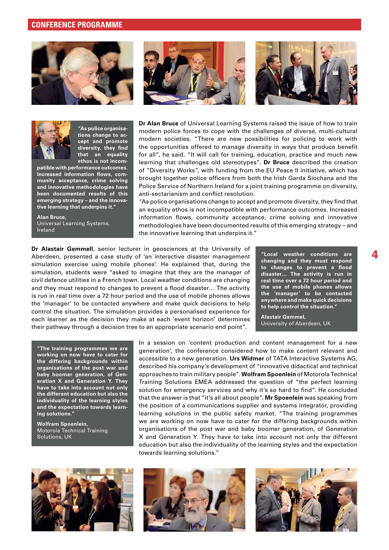



**"As police organisations change to accept and promote**  diversity, they find **that an equality ethos is not incom-**

**patible with performance outcomes.**  Increased information flows, com**munity acceptance, crime solving and innovative methodologies have been documented results of this emerging strategy – and the innovative learning that underpins it."**

**Alan Bruce,** Universal Learning Systems, Ireland





**Dr Alan Bruce** of Universal Learning Systems raised the issue of how to train modern police forces to cope with the challenges of diverse, multi-cultural modern societies. "There are new possibilities for policing to work with the opportunities offered to manage diversity in ways that produce benefit for all", he said. "It will call for training, education, practice and much new learning that challenges old stereotypes". **Dr Bruce** described the creation of "Diversity Works", with funding from the EU Peace II initiative, which has brought together police officers from both the Irish Garda Siochana and the Police Service of Northern Ireland for a joint training programme on diversity, anti-sectarianism and conflict resolution.

"As police organisations change to accept and promote diversity, they find that an equality ethos is not incompatible with performance outcomes. Increased information flows, community acceptance, crime solving and innovative methodologies have been documented results of this emerging strategy – and the innovative learning that underpins it."

**Dr Alastair Gemmell**, senior lecturer in geosciences at the University of Aberdeen, presented a case study of 'an interactive disaster management simulation exercise using mobile phones'. He explained that, during the simulation, students were "asked to imagine that they are the manager of civil defence utilities in a French town. Local weather conditions are changing and they must respond to changes to prevent a flood disaster... The activity is run in real time over a 72 hour period and the use of mobile phones allows the 'manager' to be contacted anywhere and make quick decisions to help control the situation. The simulation provides a personalised experience for each learner as the decision they make at each 'event horizon' determines their pathway through a decision tree to an appropriate scenario end point".

**"Local weather conditions are changing and they must respond**  to changes to prevent a flood **disaster… The activity is run in real time over a 72 hour period and the use of mobile phones allows the 'manager' to be contacted anywhere and make quick decisions to help control the situation."**

**4**

**Alastair Gemmel,** University of Aberdeen, UK

**"The training programmes we are working on now have to cater for the differing backgrounds within organisations of the post war and baby boomer generation, of Generation X and Generation Y. They have to take into account not only the different education but also the individuality of the learning styles and the expectation towards learning solutions."**

**Wolfram Spoenlein,** Motorola Technical Training Solutions, UK

In a session on 'content production and content management for a new generation', the conference considered how to make content relevant and accessible to a new generation. **Urs Widmer** of TATA Interactive Systems AG, described his company's development of "innovative didactical and technical approaches to train military people". **Wolfram Spoenlein** of Motorola Technical Training Solutions EMEA addressed the question of "the perfect learning solution for emergency services and why it's so hard to find". He concluded that the answer is that "it's all about people". **Mr Spoenlein** was speaking from the position of a communications supplier and systems integrator, providing learning solutions in the public safety market. "The training programmes we are working on now have to cater for the differing backgrounds within organisations of the post war and baby boomer generation, of Generation X and Generation Y. They have to take into account not only the different education but also the individuality of the learning styles and the expectation towards learning solutions."